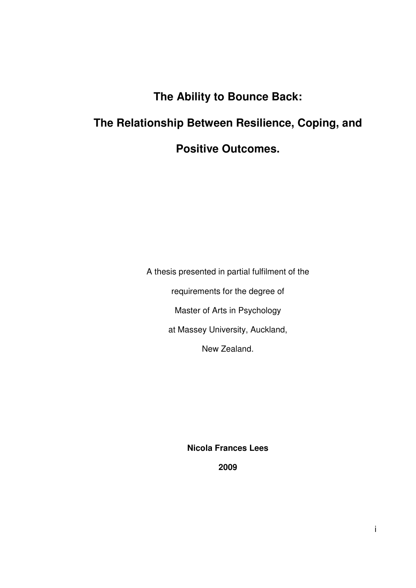# **The Ability to Bounce Back:**

# **The Relationship Between Resilience, Coping, and**

## **Positive Outcomes.**

A thesis presented in partial fulfilment of the requirements for the degree of Master of Arts in Psychology at Massey University, Auckland, New Zealand.

**Nicola Frances Lees** 

**2009**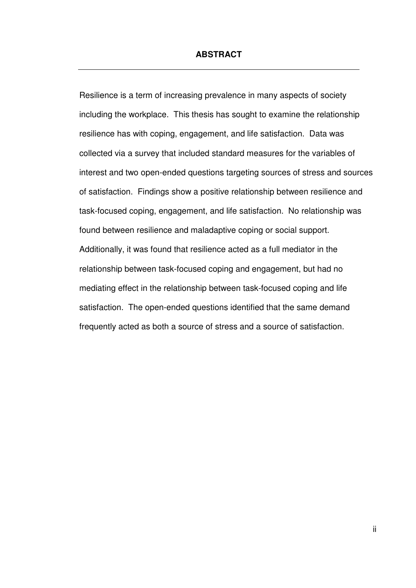#### **ABSTRACT**

Resilience is a term of increasing prevalence in many aspects of society including the workplace. This thesis has sought to examine the relationship resilience has with coping, engagement, and life satisfaction. Data was collected via a survey that included standard measures for the variables of interest and two open-ended questions targeting sources of stress and sources of satisfaction. Findings show a positive relationship between resilience and task-focused coping, engagement, and life satisfaction. No relationship was found between resilience and maladaptive coping or social support. Additionally, it was found that resilience acted as a full mediator in the relationship between task-focused coping and engagement, but had no mediating effect in the relationship between task-focused coping and life satisfaction. The open-ended questions identified that the same demand frequently acted as both a source of stress and a source of satisfaction.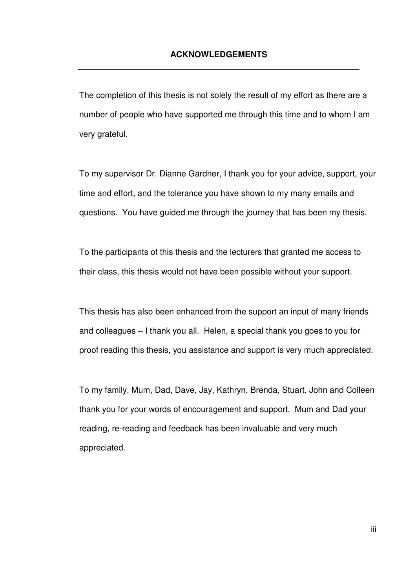The completion of this thesis is not solely the result of my effort as there are a number of people who have supported me through this time and to whom I am very grateful.

To my supervisor Dr. Dianne Gardner, I thank you for your advice, support, your time and effort, and the tolerance you have shown to my many emails and questions. You have guided me through the journey that has been my thesis.

To the participants of this thesis and the lecturers that granted me access to their class, this thesis would not have been possible without your support.

This thesis has also been enhanced from the support an input of many friends and colleagues – I thank you all. Helen, a special thank you goes to you for proof reading this thesis, you assistance and support is very much appreciated.

To my family, Mum, Dad, Dave, Jay, Kathryn, Brenda, Stuart, John and Colleen thank you for your words of encouragement and support. Mum and Dad your reading, re-reading and feedback has been invaluable and very much appreciated.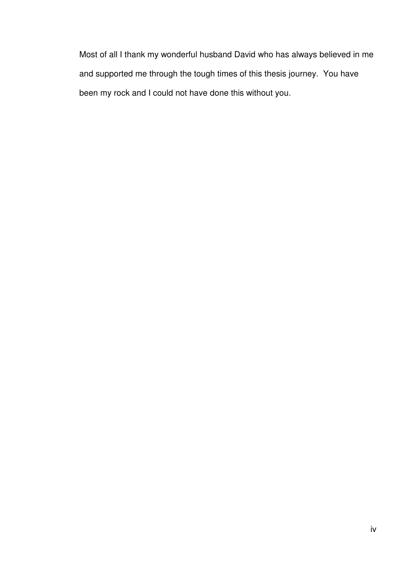Most of all I thank my wonderful husband David who has always believed in me and supported me through the tough times of this thesis journey. You have been my rock and I could not have done this without you.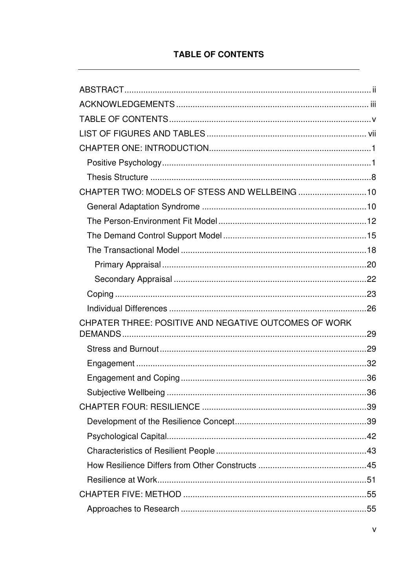## **TABLE OF CONTENTS**

| CHAPTER TWO: MODELS OF STESS AND WELLBEING  10        |  |
|-------------------------------------------------------|--|
|                                                       |  |
|                                                       |  |
|                                                       |  |
|                                                       |  |
|                                                       |  |
|                                                       |  |
|                                                       |  |
|                                                       |  |
|                                                       |  |
| CHPATER THREE: POSITIVE AND NEGATIVE OUTCOMES OF WORK |  |
|                                                       |  |
|                                                       |  |
|                                                       |  |
|                                                       |  |
|                                                       |  |
|                                                       |  |
|                                                       |  |
|                                                       |  |
|                                                       |  |
|                                                       |  |
|                                                       |  |
|                                                       |  |